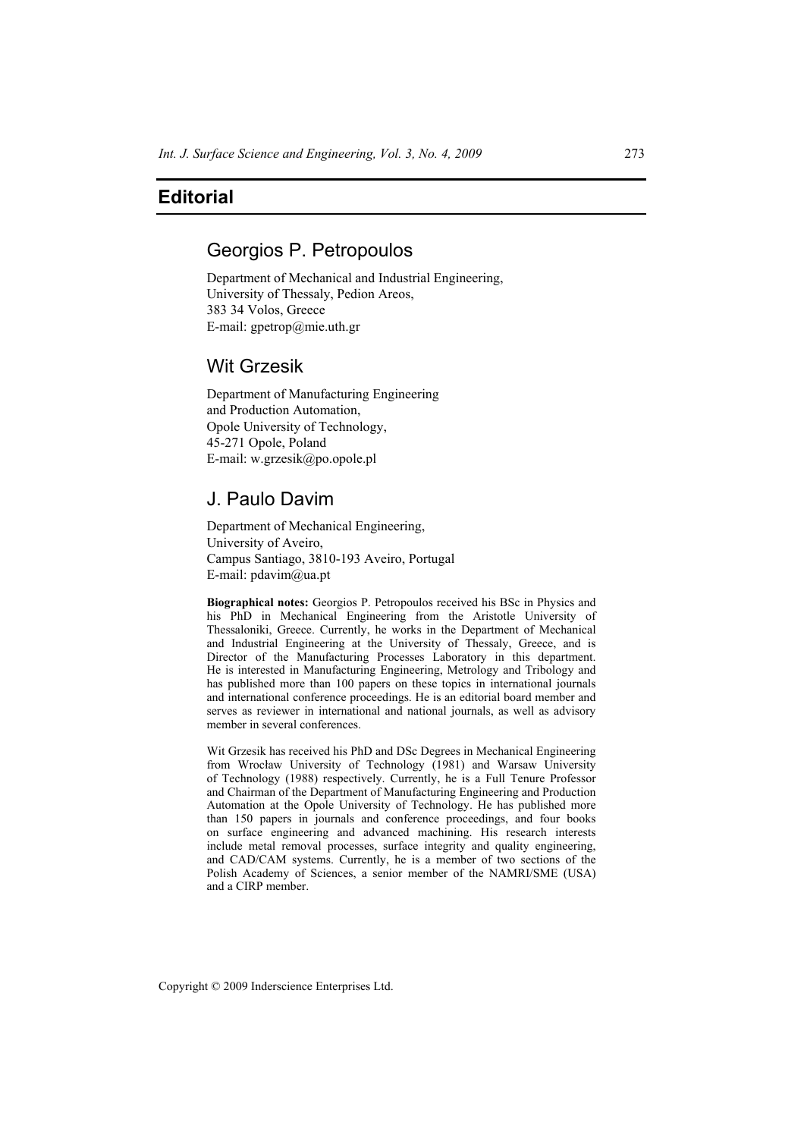## **Editorial**

## Georgios P. Petropoulos

Department of Mechanical and Industrial Engineering, University of Thessaly, Pedion Areos, 383 34 Volos, Greece E-mail: gpetrop@mie.uth.gr

### Wit Grzesik

Department of Manufacturing Engineering and Production Automation, Opole University of Technology, 45-271 Opole, Poland E-mail: w.grzesik@po.opole.pl

# J. Paulo Davim

Department of Mechanical Engineering, University of Aveiro, Campus Santiago, 3810-193 Aveiro, Portugal E-mail: pdavim@ua.pt

**Biographical notes:** Georgios P. Petropoulos received his BSc in Physics and his PhD in Mechanical Engineering from the Aristotle University of Thessaloniki, Greece. Currently, he works in the Department of Mechanical and Industrial Engineering at the University of Thessaly, Greece, and is Director of the Manufacturing Processes Laboratory in this department. He is interested in Manufacturing Engineering, Metrology and Tribology and has published more than 100 papers on these topics in international journals and international conference proceedings. He is an editorial board member and serves as reviewer in international and national journals, as well as advisory member in several conferences.

Wit Grzesik has received his PhD and DSc Degrees in Mechanical Engineering from Wrocław University of Technology (1981) and Warsaw University of Technology (1988) respectively. Currently, he is a Full Tenure Professor and Chairman of the Department of Manufacturing Engineering and Production Automation at the Opole University of Technology. He has published more than 150 papers in journals and conference proceedings, and four books on surface engineering and advanced machining. His research interests include metal removal processes, surface integrity and quality engineering, and CAD/CAM systems. Currently, he is a member of two sections of the Polish Academy of Sciences, a senior member of the NAMRI/SME (USA) and a CIRP member.